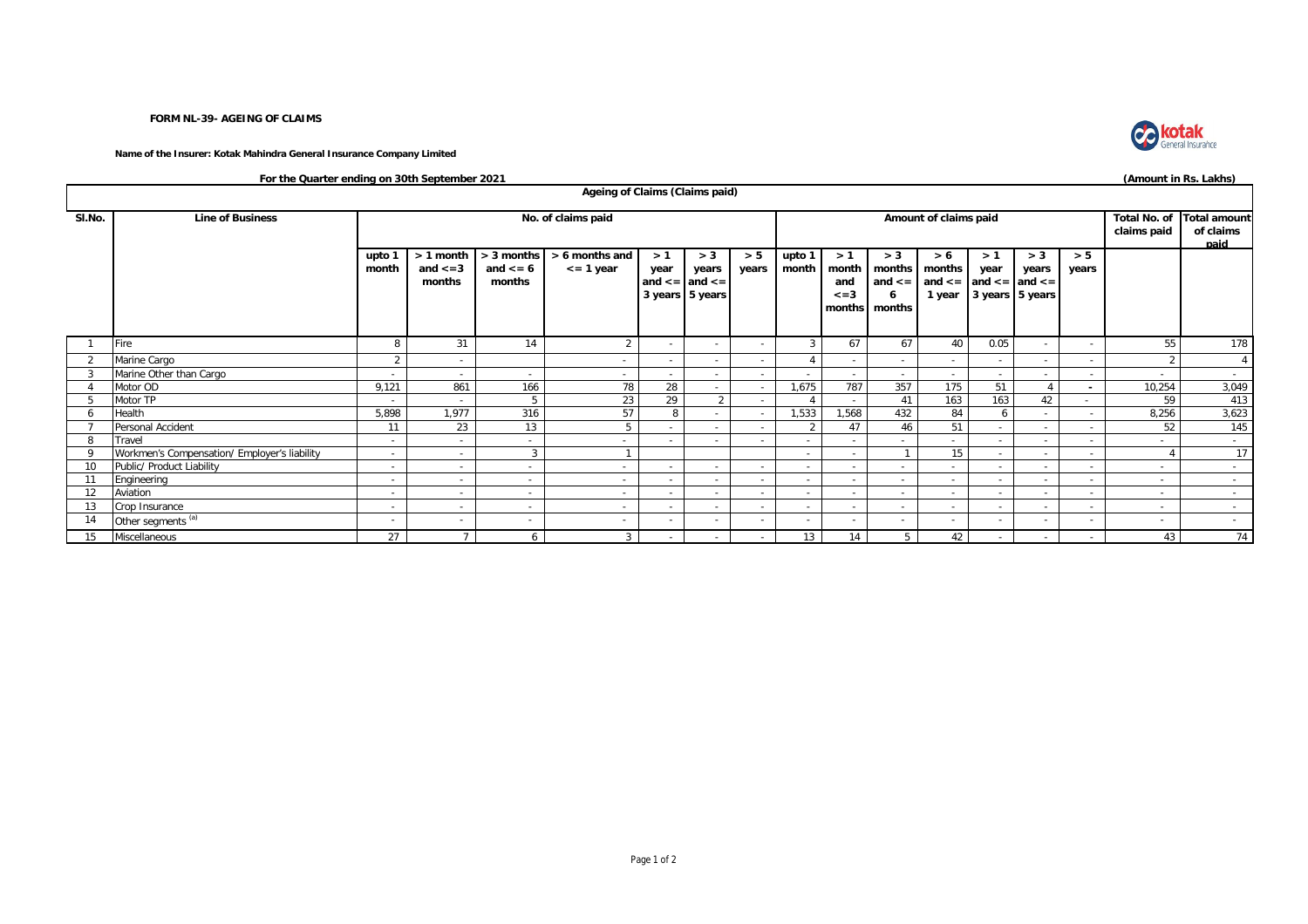## **FORM NL-39- AGEING OF CLAIMS**

**Name of the Insurer: Kotak Mahindra General Insurance Company Limited**